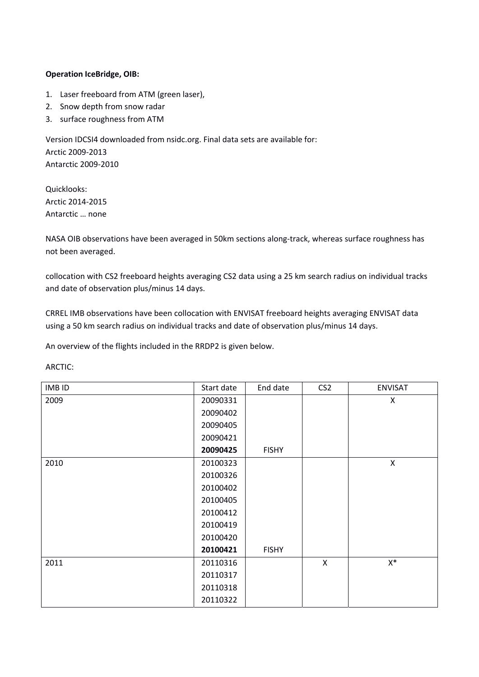## **Operation IceBridge, OIB:**

- 1. Laser freeboard from ATM (green laser),
- 2. Snow depth from snow radar
- 3. surface roughness from ATM

Version IDCSI4 downloaded from nsidc.org. Final data sets are available for: Arctic 2009‐2013 Antarctic 2009‐2010

Quicklooks: Arctic 2014‐2015 Antarctic … none

NASA OIB observations have been averaged in 50km sections along‐track, whereas surface roughness has not been averaged.

collocation with CS2 freeboard heights averaging CS2 data using a 25 km search radius on individual tracks and date of observation plus/minus 14 days.

CRREL IMB observations have been collocation with ENVISAT freeboard heights averaging ENVISAT data using a 50 km search radius on individual tracks and date of observation plus/minus 14 days.

An overview of the flights included in the RRDP2 is given below.

ARCTIC:

| <b>IMBID</b> | Start date | End date     | CS <sub>2</sub> | <b>ENVISAT</b> |
|--------------|------------|--------------|-----------------|----------------|
| 2009         | 20090331   |              |                 | X              |
|              | 20090402   |              |                 |                |
|              | 20090405   |              |                 |                |
|              | 20090421   |              |                 |                |
|              | 20090425   | <b>FISHY</b> |                 |                |
| 2010         | 20100323   |              |                 | $\mathsf X$    |
|              | 20100326   |              |                 |                |
|              | 20100402   |              |                 |                |
|              | 20100405   |              |                 |                |
|              | 20100412   |              |                 |                |
|              | 20100419   |              |                 |                |
|              | 20100420   |              |                 |                |
|              | 20100421   | <b>FISHY</b> |                 |                |
| 2011         | 20110316   |              | $\mathsf{X}$    | $\mathsf{X}^*$ |
|              | 20110317   |              |                 |                |
|              | 20110318   |              |                 |                |
|              | 20110322   |              |                 |                |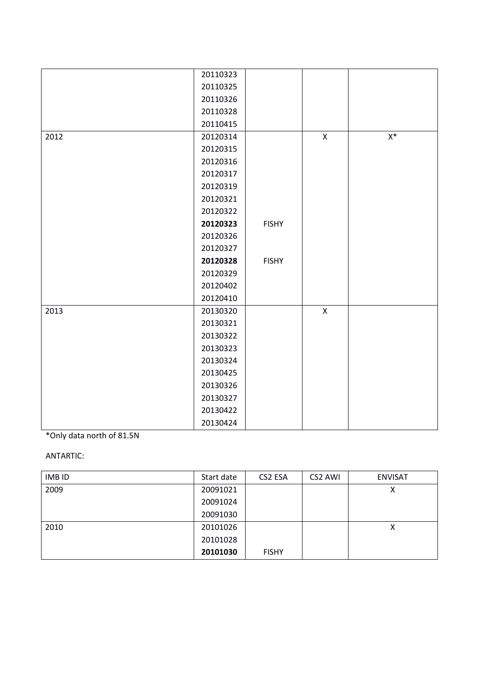|      | 20110323 |              |              |       |
|------|----------|--------------|--------------|-------|
|      | 20110325 |              |              |       |
|      | 20110326 |              |              |       |
|      | 20110328 |              |              |       |
|      | 20110415 |              |              |       |
| 2012 | 20120314 |              | $\mathsf{X}$ | $X^*$ |
|      | 20120315 |              |              |       |
|      | 20120316 |              |              |       |
|      | 20120317 |              |              |       |
|      | 20120319 |              |              |       |
|      | 20120321 |              |              |       |
|      | 20120322 |              |              |       |
|      | 20120323 | <b>FISHY</b> |              |       |
|      | 20120326 |              |              |       |
|      | 20120327 |              |              |       |
|      | 20120328 | <b>FISHY</b> |              |       |
|      | 20120329 |              |              |       |
|      | 20120402 |              |              |       |
|      | 20120410 |              |              |       |
| 2013 | 20130320 |              | $\mathsf X$  |       |
|      | 20130321 |              |              |       |
|      | 20130322 |              |              |       |
|      | 20130323 |              |              |       |
|      | 20130324 |              |              |       |
|      | 20130425 |              |              |       |
|      | 20130326 |              |              |       |
|      | 20130327 |              |              |       |
|      | 20130422 |              |              |       |
|      | 20130424 |              |              |       |

## \*Only data north of 81.5N

## ANTARTIC:

| <b>IMB ID</b> | Start date | CS2 ESA      | CS2 AWI | <b>ENVISAT</b> |
|---------------|------------|--------------|---------|----------------|
| 2009          | 20091021   |              |         | χ              |
|               | 20091024   |              |         |                |
|               | 20091030   |              |         |                |
| 2010          | 20101026   |              |         | Χ              |
|               | 20101028   |              |         |                |
|               | 20101030   | <b>FISHY</b> |         |                |